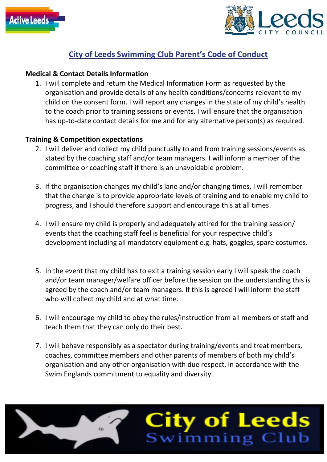



# **City of Leeds Swimming Club Parent's Code of Conduct**

## **Medical & Contact Details Information**

1. I will complete and return the Medical Information Form as requested by the organisation and provide details of any health conditions/concerns relevant to my child on the consent form. I will report any changes in the state of my child's health to the coach prior to training sessions or events. I will ensure that the organisation has up-to-date contact details for me and for any alternative person(s) as required.

## **Training & Competition expectations**

- 2. I will deliver and collect my child punctually to and from training sessions/events as stated by the coaching staff and/or team managers. I will inform a member of the committee or coaching staff if there is an unavoidable problem.
- 3. If the organisation changes my child's lane and/or changing times, I will remember that the change is to provide appropriate levels of training and to enable my child to progress, and I should therefore support and encourage this at all times.
- 4. I will ensure my child is properly and adequately attired for the training session/ events that the coaching staff feel is beneficial for your respective child's development including all mandatory equipment e.g. hats, goggles, spare costumes.
- 5. In the event that my child has to exit a training session early I will speak the coach and/or team manager/welfare officer before the session on the understanding this is agreed by the coach and/or team managers. If this is agreed I will inform the staff who will collect my child and at what time.
- 6. I will encourage my child to obey the rules/instruction from all members of staff and teach them that they can only do their best.
- 7. I will behave responsibly as a spectator during training/events and treat members, coaches, committee members and other parents of members of both my child's organisation and any other organisation with due respect, in accordance with the Swim Englands commitment to equality and diversity.

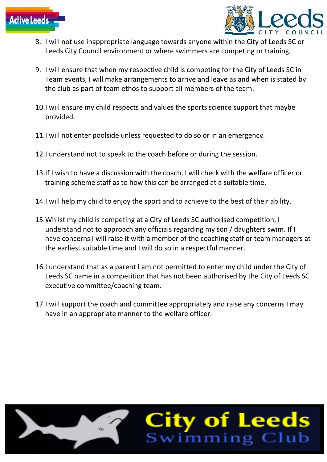



- 8. I will not use inappropriate language towards anyone within the City of Leeds SC or Leeds City Council environment or where swimmers are competing or training.
- 9. I will ensure that when my respective child is competing for the City of Leeds SC in Team events, I will make arrangements to arrive and leave as and when is stated by the club as part of team ethos to support all members of the team.
- 10.I will ensure my child respects and values the sports science support that maybe provided.
- 11.I will not enter poolside unless requested to do so or in an emergency.
- 12.I understand not to speak to the coach before or during the session.
- 13.If I wish to have a discussion with the coach, I will check with the welfare officer or training scheme staff as to how this can be arranged at a suitable time.
- 14.I will help my child to enjoy the sport and to achieve to the best of their ability.
- 15.Whilst my child is competing at a City of Leeds SC authorised competition, I understand not to approach any officials regarding my son / daughters swim. If I have concerns I will raise it with a member of the coaching staff or team managers at the earliest suitable time and I will do so in a respectful manner.
- 16.I understand that as a parent I am not permitted to enter my child under the City of Leeds SC name in a competition that has not been authorised by the City of Leeds SC executive committee/coaching team.
- 17.I will support the coach and committee appropriately and raise any concerns I may have in an appropriate manner to the welfare officer.